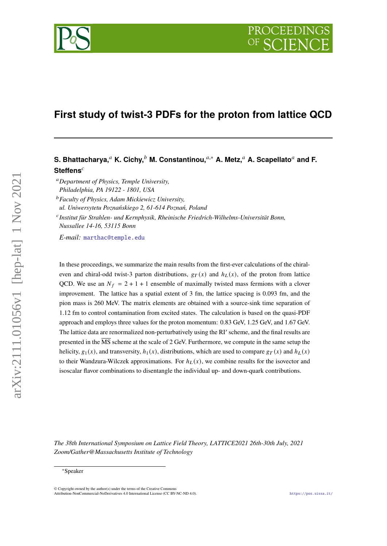# **First study of twist-3 PDFs for the proton from lattice QCD**

## **S. Bhattacharya,<sup>***a***</sup> K. Cichy,<sup>***b***</sup> M. Constantinou,<sup>***a***,∗</sup> A. Metz,<sup>***a***</sup> A. Scapellato<sup>***a***</sup> and F. Steffens**

- *Department of Physics, Temple University, Philadelphia, PA 19122 - 1801, USA*
- *Faculty of Physics, Adam Mickiewicz University,*
- *ul. Uniwersytetu Poznańskiego 2, 61-614 Poznań, Poland*

 *Institut für Strahlen- und Kernphysik, Rheinische Friedrich-Wilhelms-Universität Bonn, Nussallee 14-16, 53115 Bonn*

*E-mail:* [marthac@temple.edu](mailto:marthac@temple.edu)

In these proceedings, we summarize the main results from the first-ever calculations of the chiraleven and chiral-odd twist-3 parton distributions,  $g_T(x)$  and  $h_L(x)$ , of the proton from lattice QCD. We use an  $N_f = 2 + 1 + 1$  ensemble of maximally twisted mass fermions with a clover improvement. The lattice has a spatial extent of 3 fm, the lattice spacing is 0.093 fm, and the pion mass is 260 MeV. The matrix elements are obtained with a source-sink time separation of 1.12 fm to control contamination from excited states. The calculation is based on the quasi-PDF approach and employs three values for the proton momentum: 0.83 GeV, 1.25 GeV, and 1.67 GeV. The lattice data are renormalized non-perturbatively using the RI' scheme, and the final results are presented in the MS scheme at the scale of 2 GeV. Furthermore, we compute in the same setup the helicity,  $g_1(x)$ , and transversity,  $h_1(x)$ , distributions, which are used to compare  $g_T(x)$  and  $h_l(x)$ to their Wandzura-Wilczek approximations. For  $h_L(x)$ , we combine results for the isovector and isoscalar flavor combinations to disentangle the individual up- and down-quark contributions.

*The 38th International Symposium on Lattice Field Theory, LATTICE2021 26th-30th July, 2021 Zoom/Gather@Massachusetts Institute of Technology*

arXiv:2111.01056v1 [hep-lat] 1 Nov 2021

 $arXiv:2111.01056v1$  [hep-lat] 1 Nov 2021

<sup>∗</sup>Speaker

<sup>©</sup> Copyright owned by the author(s) under the terms of the Creative Commons Attribution-NonCommercial-NoDerivatives 4.0 International License (CC BY-NC-ND 4.0). <https://pos.sissa.it/>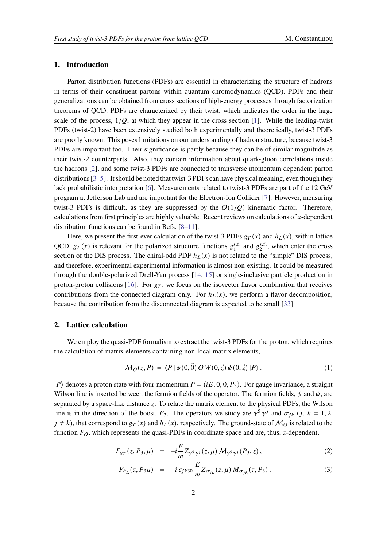#### **1. Introduction**

Parton distribution functions (PDFs) are essential in characterizing the structure of hadrons in terms of their constituent partons within quantum chromodynamics (QCD). PDFs and their generalizations can be obtained from cross sections of high-energy processes through factorization theorems of QCD. PDFs are characterized by their twist, which indicates the order in the large scale of the process,  $1/O$ , at which they appear in the cross section [\[1\]](#page-7-0). While the leading-twist PDFs (twist-2) have been extensively studied both experimentally and theoretically, twist-3 PDFs are poorly known. This poses limitations on our understanding of hadron structure, because twist-3 PDFs are important too. Their significance is partly because they can be of similar magnitude as their twist-2 counterparts. Also, they contain information about quark-gluon correlations inside the hadrons [\[2\]](#page-7-1), and some twist-3 PDFs are connected to transverse momentum dependent parton distributions [\[3–](#page-7-2)[5\]](#page-7-3). It should be noted that twist-3 PDFs can have physical meaning, even though they lack probabilistic interpretation [\[6\]](#page-8-0). Measurements related to twist-3 PDFs are part of the 12 GeV program at Jefferson Lab and are important for the Electron-Ion Collider [\[7\]](#page-8-1). However, measuring twist-3 PDFs is difficult, as they are suppressed by the  $O(1/O)$  kinematic factor. Therefore, calculations from first principles are highly valuable. Recent reviews on calculations of  $x$ -dependent distribution functions can be found in Refs. [\[8–](#page-8-2)[11\]](#page-8-3).

Here, we present the first-ever calculation of the twist-3 PDFs  $g_T(x)$  and  $h_L(x)$ , within lattice QCD.  $g_T(x)$  is relevant for the polarized structure functions  $g_1^{\text{s.f.}}$  and  $g_2^{\text{s.f.}}$ , which enter the cross section of the DIS process. The chiral-odd PDF  $h_L(x)$  is not related to the "simple" DIS process, and therefore, experimental experimental information is almost non-existing. It could be measured through the double-polarized Drell-Yan process [\[14,](#page-8-4) [15\]](#page-8-5) or single-inclusive particle production in proton-proton collisions [\[16\]](#page-8-6). For  $g<sub>T</sub>$ , we focus on the isovector flavor combination that receives contributions from the connected diagram only. For  $h_L(x)$ , we perform a flavor decomposition, because the contribution from the disconnected diagram is expected to be small [\[33\]](#page-8-7).

### **2. Lattice calculation**

We employ the quasi-PDF formalism to extract the twist-3 PDFs for the proton, which requires the calculation of matrix elements containing non-local matrix elements,

$$
\mathcal{M}_O(z, P) = \langle P | \overline{\psi}(0, \vec{0}) \, O \, W(0, \vec{z}) \, \psi(0, \vec{z}) | P \rangle \,. \tag{1}
$$

 $|P\rangle$  denotes a proton state with four-momentum  $P = (iE, 0, 0, P_3)$ . For gauge invariance, a straight Wilson line is inserted between the fermion fields of the operator. The fermion fields,  $\psi$  and  $\bar{\psi}$ , are separated by a space-like distance  $z$ . To relate the matrix element to the physical PDFs, the Wilson line is in the direction of the boost,  $P_3$ . The operators we study are  $\gamma^5 \gamma^j$  and  $\sigma_{jk}$  (*j*, *k* = 1, 2,  $j \neq k$ ), that correspond to  $g_T(x)$  and  $h_L(x)$ , respectively. The ground-state of  $M_Q$  is related to the function  $F_O$ , which represents the quasi-PDFs in coordinate space and are, thus, z-dependent,

$$
F_{gr}(z, P_3, \mu) = -i\frac{E}{m} Z_{\gamma^5 \gamma^j}(z, \mu) M_{\gamma^5 \gamma^j}(P_3, z), \qquad (2)
$$

$$
F_{h_L}(z, P_3 \mu) = -i \epsilon_{jk30} \frac{E}{m} Z_{\sigma_{jk}}(z, \mu) M_{\sigma_{jk}}(z, P_3).
$$
 (3)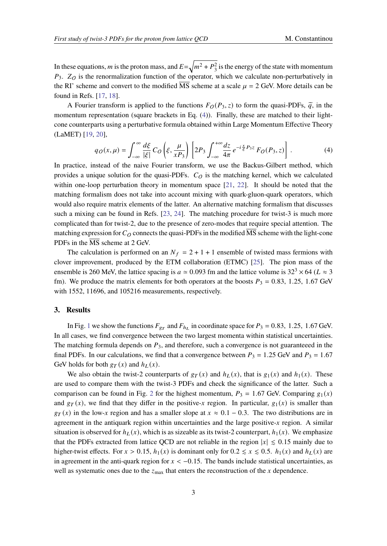In these equations, m is the proton mass, and  $E=\sqrt{m^2+P_3^2}$  is the energy of the state with momentum  $P_3$ .  $Z_O$  is the renormalization function of the operator, which we calculate non-perturbatively in the RI' scheme and convert to the modified MS scheme at a scale  $\mu = 2$  GeV. More details can be found in Refs. [\[17,](#page-8-8) [18\]](#page-8-9).

A Fourier transform is applied to the functions  $F_O(P_3, z)$  to form the quasi-PDFs,  $\tilde{q}$ , in the momentum representation (square brackets in Eq. [\(4\)](#page-2-0)). Finally, these are matched to their lightcone counterparts using a perturbative formula obtained within Large Momentum Effective Theory (LaMET) [\[19,](#page-8-10) [20\]](#page-8-11),

<span id="page-2-0"></span>
$$
q_O(x,\mu) = \int_{-\infty}^{\infty} \frac{d\xi}{|\xi|} C_O \left(\xi, \frac{\mu}{xP_3}\right) \left[2P_3 \int_{-\infty}^{+\infty} \frac{dz}{4\pi} e^{-i\frac{x}{\xi}P_3 z} F_O(P_3, z)\right].
$$
 (4)

In practice, instead of the naive Fourier transform, we use the Backus-Gilbert method, which provides a unique solution for the quasi-PDFs.  $C<sub>O</sub>$  is the matching kernel, which we calculated within one-loop perturbation theory in momentum space [\[21,](#page-8-12) [22\]](#page-8-13). It should be noted that the matching formalism does not take into account mixing with quark-gluon-quark operators, which would also require matrix elements of the latter. An alternative matching formalism that discusses such a mixing can be found in Refs. [\[23,](#page-8-14) [24\]](#page-8-15). The matching procedure for twist-3 is much more complicated than for twist-2, due to the presence of zero-modes that require special attention. The matching expression for  $C_Q$  connects the quasi-PDFs in the modified  $\overline{\text{MS}}$  scheme with the light-cone PDFs in the MS scheme at 2 GeV.

The calculation is performed on an  $N_f = 2 + 1 + 1$  ensemble of twisted mass fermions with clover improvement, produced by the ETM collaboration (ETMC) [\[25\]](#page-8-16). The pion mass of the ensemble is 260 MeV, the lattice spacing is  $a \approx 0.093$  fm and the lattice volume is  $32^3 \times 64$  ( $L \approx 3$ ) fm). We produce the matrix elements for both operators at the boosts  $P_3 = 0.83$ , 1.25, 1.67 GeV with 1552, 11696, and 105216 measurements, respectively.

### **3. Results**

In Fig. [1](#page-3-0) we show the functions  $F_{gr}$  and  $F_{h}$  in coordinate space for  $P_3 = 0.83$ , 1.25, 1.67 GeV. In all cases, we find convergence between the two largest momenta within statistical uncertainties. The matching formula depends on  $P_3$ , and therefore, such a convergence is not guaranteeed in the final PDFs. In our calculations, we find that a convergence between  $P_3 = 1.25$  GeV and  $P_3 = 1.67$ GeV holds for both  $g_T(x)$  and  $h_L(x)$ .

We also obtain the twist-2 counterparts of  $g_T(x)$  and  $h_L(x)$ , that is  $g_1(x)$  and  $h_1(x)$ . These are used to compare them with the twist-3 PDFs and check the significance of the latter. Such a comparison can be found in Fig. [2](#page-3-1) for the highest momentum,  $P_3 = 1.67$  GeV. Comparing  $g_1(x)$ and  $g_T(x)$ , we find that they differ in the positive-x region. In particular,  $g_1(x)$  is smaller than  $g_T(x)$  in the low-x region and has a smaller slope at  $x \approx 0.1 - 0.3$ . The two distributions are in agreement in the antiquark region within uncertainties and the large positive- $x$  region. A similar situation is observed for  $h_L(x)$ , which is as sizeable as its twist-2 counterpart,  $h_1(x)$ . We emphasize that the PDFs extracted from lattice QCD are not reliable in the region  $|x| \le 0.15$  mainly due to higher-twist effects. For  $x > 0.15$ ,  $h_1(x)$  is dominant only for  $0.2 \le x \le 0.5$ .  $h_1(x)$  and  $h_L(x)$  are in agreement in the anti-quark region for  $x < -0.15$ . The bands include statistical uncertainties, as well as systematic ones due to the  $z_{\text{max}}$  that enters the reconstruction of the x dependence.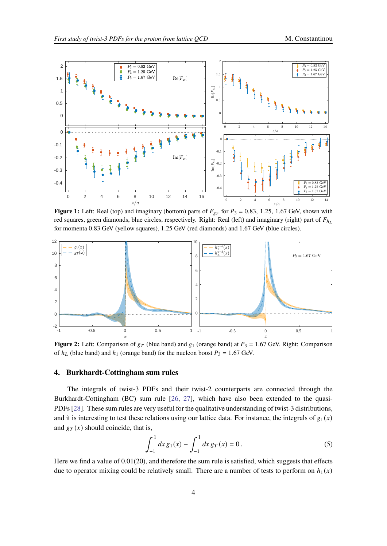<span id="page-3-0"></span>

**Figure 1:** Left: Real (top) and imaginary (bottom) parts of  $F_{gr}$  for  $P_3 = 0.83$ , 1.25, 1.67 GeV, shown with red squares, green diamonds, blue circles, respectively. Right: Real (left) and imaginary (right) part of  $F_{h_L}$ for momenta 0.83 GeV (yellow squares), 1.25 GeV (red diamonds) and 1.67 GeV (blue circles).

<span id="page-3-1"></span>

**Figure 2:** Left: Comparison of  $g_T$  (blue band) and  $g_1$  (orange band) at  $P_3 = 1.67$  GeV. Right: Comparison of  $h_l$  (blue band) and  $h_1$  (orange band) for the nucleon boost  $P_3 = 1.67$  GeV.

#### **4. Burkhardt-Cottingham sum rules**

The integrals of twist-3 PDFs and their twist-2 counterparts are connected through the Burkhardt-Cottingham (BC) sum rule [\[26,](#page-8-17) [27\]](#page-8-18), which have also been extended to the quasi-PDFs [\[28\]](#page-8-19). These sum rules are very useful for the qualitative understanding of twist-3 distributions, and it is interesting to test these relations using our lattice data. For instance, the integrals of  $g_1(x)$ and  $g_T(x)$  should coincide, that is,

$$
\int_{-1}^{1} dx \, g_1(x) - \int_{-1}^{1} dx \, g_T(x) = 0 \,. \tag{5}
$$

Here we find a value of  $0.01(20)$ , and therefore the sum rule is satisfied, which suggests that effects due to operator mixing could be relatively small. There are a number of tests to perform on  $h_1(x)$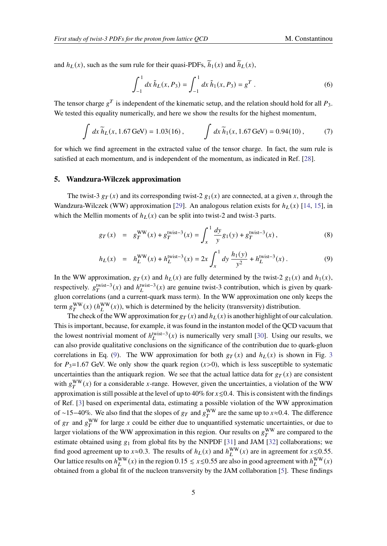and  $h_L(x)$ , such as the sum rule for their quasi-PDFs,  $\tilde{h}_1(x)$  and  $\tilde{h}_L(x)$ ,

$$
\int_{-1}^{1} dx \, \tilde{h}_L(x, P_3) = \int_{-1}^{1} dx \, \tilde{h}_1(x, P_3) = g^T \,. \tag{6}
$$

The tensor charge  $g^T$  is independent of the kinematic setup, and the relation should hold for all  $P_3$ . We tested this equality numerically, and here we show the results for the highest momentum,

$$
\int dx \widetilde{h}_L(x, 1.67 \,\text{GeV}) = 1.03(16), \qquad \int dx \widetilde{h}_1(x, 1.67 \,\text{GeV}) = 0.94(10), \tag{7}
$$

for which we find agreement in the extracted value of the tensor charge. In fact, the sum rule is satisfied at each momentum, and is independent of the momentum, as indicated in Ref. [\[28\]](#page-8-19).

#### **5. Wandzura-Wilczek approximation**

The twist-3  $g_T(x)$  and its corresponding twist-2  $g_1(x)$  are connected, at a given x, through the Wandzura-Wilczek (WW) approximation [\[29\]](#page-8-20). An analogous relation exists for  $h_L(x)$  [\[14,](#page-8-4) [15\]](#page-8-5), in which the Mellin moments of  $h_L(x)$  can be split into twist-2 and twist-3 parts.

<span id="page-4-0"></span>
$$
g_T(x) = g_T^{\text{WW}}(x) + g_T^{\text{twist}-3}(x) = \int_x^1 \frac{dy}{y} g_1(y) + g_T^{\text{twist}-3}(x) , \qquad (8)
$$

$$
h_L(x) = h_L^{\text{WW}}(x) + h_L^{\text{twist}-3}(x) = 2x \int_x^1 dy \, \frac{h_1(y)}{y^2} + h_L^{\text{twist}-3}(x) \,. \tag{9}
$$

In the WW approximation,  $g_T(x)$  and  $h_L(x)$  are fully determined by the twist-2  $g_1(x)$  and  $h_1(x)$ , respectively.  $g_T^{\text{twist}-3}(x)$  and  $h_L^{\text{twist}-3}(x)$  are genuine twist-3 contribution, which is given by quarkgluon correlations (and a current-quark mass term). In the WW approximation one only keeps the term  $g_T^{\text{WW}}(x)$  ( $h_L^{\text{WW}}(x)$ ), which is determined by the helicity (transversity) distribution.

The check of the WW approximation for  $g_T(x)$  and  $h_L(x)$  is another highlight of our calculation. This is important, because, for example, it was found in the instanton model of the QCD vacuum that the lowest nontrivial moment of  $h_L^{\text{twist}-3}(x)$  is numerically very small [\[30\]](#page-8-21). Using our results, we can also provide qualitative conclusions on the significance of the contribution due to quark-gluon correlations in Eq. [\(9\)](#page-4-0). The WW approximation for both  $g_T(x)$  and  $h_L(x)$  is shown in Fig. [3](#page-5-0) for  $P_3=1.67$  GeV. We only show the quark region  $(x>0)$ , which is less susceptible to systematic uncertainties than the antiquark region. We see that the actual lattice data for  $g_T(x)$  are consistent with  $g_T^{\text{WW}}(x)$  for a considerable x-range. However, given the uncertainties, a violation of the WW approximation is still possible at the level of up to 40% for  $x \le 0.4$ . This is consistent with the findings of Ref. [\[3\]](#page-7-2) based on experimental data, estimating a possible violation of the WW approximation of ~15−40%. We also find that the slopes of  $g_T$  and  $g_T^{\text{WW}}$  are the same up to  $x\approx 0.4$ . The difference of  $g_T$  and  $g_T^{\text{WW}}$  for large x could be either due to unquantified systematic uncertainties, or due to larger violations of the WW approximation in this region. Our results on  $g_T^{\rm WW}$  are compared to the estimate obtained using  $g_1$  from global fits by the NNPDF [\[31\]](#page-8-22) and JAM [\[32\]](#page-8-23) collaborations; we find good agreement up to  $x \approx 0.3$ . The results of  $h_L(x)$  and  $h_L^{WW}(x)$  are in agreement for  $x \le 0.55$ . Our lattice results on  $h_L^{\text{WW}}(x)$  in the region 0.15  $\le x \le 0.55$  are also in good agreement with  $h_L^{\text{WW}}(x)$ obtained from a global fit of the nucleon transversity by the JAM collaboration [\[5\]](#page-7-3). These findings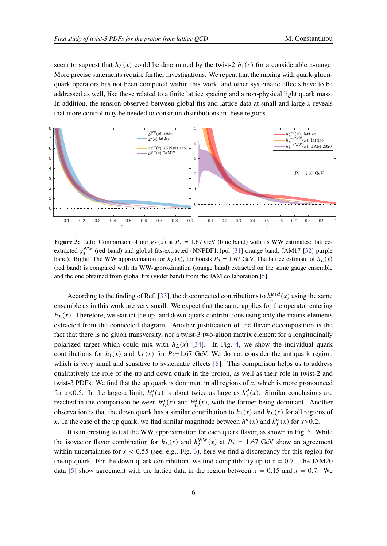seem to suggest that  $h_L(x)$  could be determined by the twist-2  $h_1(x)$  for a considerable x-range. More precise statements require further investigations. We repeat that the mixing with quark-gluonquark operators has not been computed within this work, and other systematic effects have to be addressed as well, like those related to a finite lattice spacing and a non-physical light quark mass. In addition, the tension observed between global fits and lattice data at small and large  $x$  reveals that more control may be needed to constrain distributions in these regions.

<span id="page-5-0"></span>

**Figure 3:** Left: Comparison of our  $g_T(x)$  at  $P_3 = 1.67$  GeV (blue band) with its WW estimates: latticeextracted  $g_T^{\rm WW}$  (red band) and global fits-extracted (NNPDF1.1pol [\[31\]](#page-8-22) orange band, JAM17 [\[32\]](#page-8-23) purple band). Right: The WW approximation for  $h_L(x)$ , for boosts  $P_3 = 1.67$  GeV. The lattice estimate of  $h_L(x)$ (red band) is compared with its WW-approximation (orange band) extracted on the same gauge ensemble and the one obtained from global fits (violet band) from the JAM collaboration [\[5\]](#page-7-3).

According to the finding of Ref. [\[33\]](#page-8-7), the disconnected contributions to  $h_1^{u+d}$  $\binom{u+d}{1}(x)$  using the same ensemble as in this work are very small. We expect that the same applies for the operator entering  $h_L(x)$ . Therefore, we extract the up- and down-quark contributions using only the matrix elements extracted from the connected diagram. Another justification of the flavor decomposition is the fact that there is no gluon transversity, nor a twist-3 two-gluon matrix element for a longitudinally polarized target which could mix with  $h_l(x)$  [\[34\]](#page-8-24). In Fig. [4,](#page-6-0) we show the individual quark contributions for  $h_1(x)$  and  $h_1(x)$  for  $P_3=1.67$  GeV. We do not consider the antiquark region, which is very small and sensitive to systematic effects [\[8\]](#page-8-2). This comparison helps us to address qualitatively the role of the up and down quark in the proton, as well as their role in twist-2 and twist-3 PDFs. We find that the up quark is dominant in all regions of  $x$ , which is more pronounced for  $x < 0.5$ . In the large-x limit,  $h_1^u$  $\frac{u}{1}(x)$  is about twice as large as  $h_1^d$  $_1^d(x)$ . Similar conclusions are reached in the comparison between  $h_L^u(x)$  and  $h_L^d(x)$ , with the former being dominant. Another observation is that the down quark has a similar contribution to  $h_1(x)$  and  $h_L(x)$  for all regions of x. In the case of the up quark, we find similar magnitude between  $h_1^u$  $\binom{u}{1}(x)$  and  $h^u(L(x))$  for  $x > 0.2$ .

It is interesting to test the WW approximation for each quark flavor, as shown in Fig. [5.](#page-6-1) While the isovector flavor combination for  $h_L(x)$  and  $h_L^{WW}(x)$  at  $P_3 = 1.67$  GeV show an agreement within uncertainties for  $x < 0.55$  (see, e.g., Fig. [3\)](#page-5-0), here we find a discrepancy for this region for the up-quark. For the down-quark contribution, we find compatibility up to  $x = 0.7$ . The JAM20 data [\[5\]](#page-7-3) show agreement with the lattice data in the region between  $x = 0.15$  and  $x = 0.7$ . We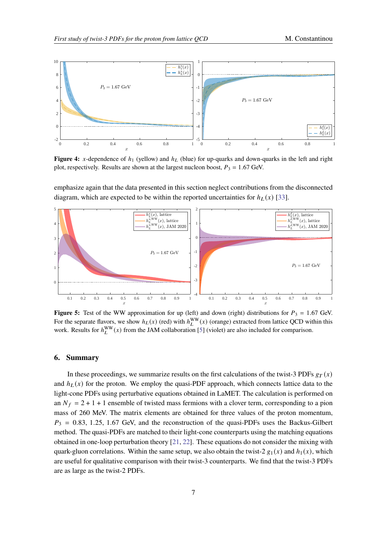<span id="page-6-0"></span>

**Figure 4:** x-dependence of  $h_1$  (yellow) and  $h_L$  (blue) for up-quarks and down-quarks in the left and right plot, respectively. Results are shown at the largest nucleon boost,  $P_3 = 1.67$  GeV.

emphasize again that the data presented in this section neglect contributions from the disconnected diagram, which are expected to be within the reported uncertainties for  $h_L(x)$  [\[33\]](#page-8-7).

<span id="page-6-1"></span>

**Figure 5:** Test of the WW approximation for up (left) and down (right) distributions for  $P_3 = 1.67$  GeV. For the separate flavors, we show  $h_L(x)$  (red) with  $h_L^{WW}(x)$  (orange) extracted from lattice QCD within this work. Results for  $h_L^{\text{WW}}(x)$  from the JAM collaboration [\[5\]](#page-7-3) (violet) are also included for comparison.

#### **6. Summary**

In these proceedings, we summarize results on the first calculations of the twist-3 PDFs  $g_T(x)$ and  $h_L(x)$  for the proton. We employ the quasi-PDF approach, which connects lattice data to the light-cone PDFs using perturbative equations obtained in LaMET. The calculation is performed on an  $N_f = 2 + 1 + 1$  ensemble of twisted mass fermions with a clover term, corresponding to a pion mass of 260 MeV. The matrix elements are obtained for three values of the proton momentum,  $P_3 = 0.83, 1.25, 1.67$  GeV, and the reconstruction of the quasi-PDFs uses the Backus-Gilbert method. The quasi-PDFs are matched to their light-cone counterparts using the matching equations obtained in one-loop perturbation theory [\[21,](#page-8-12) [22\]](#page-8-13). These equations do not consider the mixing with quark-gluon correlations. Within the same setup, we also obtain the twist-2  $g_1(x)$  and  $h_1(x)$ , which are useful for qualitative comparison with their twist-3 counterparts. We find that the twist-3 PDFs are as large as the twist-2 PDFs.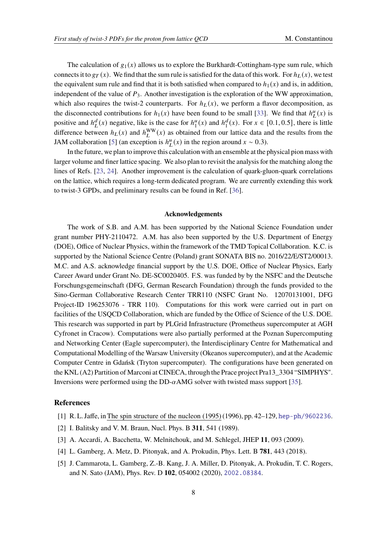The calculation of  $g_1(x)$  allows us to explore the Burkhardt-Cottingham-type sum rule, which connects it to  $g_T(x)$ . We find that the sum rule is satisfied for the data of this work. For  $h_l(x)$ , we test the equivalent sum rule and find that it is both satisfied when compared to  $h_1(x)$  and is, in addition, independent of the value of  $P_3$ . Another investigation is the exploration of the WW approximation, which also requires the twist-2 counterparts. For  $h<sub>L</sub>(x)$ , we perform a flavor decomposition, as the disconnected contributions for  $h_1(x)$  have been found to be small [\[33\]](#page-8-7). We find that  $h_L^u(x)$  is positive and  $h^d_L(x)$  negative, like is the case for  $h^u_1$  $\binom{u}{1}(x)$  and  $h_1^d$  $_1^d(x)$ . For  $x \in [0.1, 0.5]$ , there is little difference between  $h_L(x)$  and  $h_L^{\text{WW}}(x)$  as obtained from our lattice data and the results from the JAM collaboration [\[5\]](#page-7-3) (an exception is  $h<sup>u</sup><sub>L</sub>(x)$  in the region around  $x \sim 0.3$ ).

In the future, we plan to improve this calculation with an ensemble at the physical pion mass with larger volume and finer lattice spacing. We also plan to revisit the analysis for the matching along the lines of Refs. [\[23,](#page-8-14) [24\]](#page-8-15). Another improvement is the calculation of quark-gluon-quark correlations on the lattice, which requires a long-term dedicated program. We are currently extending this work to twist-3 GPDs, and preliminary results can be found in Ref. [\[36\]](#page-8-25).

#### **Acknowledgements**

The work of S.B. and A.M. has been supported by the National Science Foundation under grant number PHY-2110472. A.M. has also been supported by the U.S. Department of Energy (DOE), Office of Nuclear Physics, within the framework of the TMD Topical Collaboration. K.C. is supported by the National Science Centre (Poland) grant SONATA BIS no. 2016/22/E/ST2/00013. M.C. and A.S. acknowledge financial support by the U.S. DOE, Office of Nuclear Physics, Early Career Award under Grant No. DE-SC0020405. F.S. was funded by by the NSFC and the Deutsche Forschungsgemeinschaft (DFG, German Research Foundation) through the funds provided to the Sino-German Collaborative Research Center TRR110 (NSFC Grant No. 12070131001, DFG Project-ID 196253076 - TRR 110). Computations for this work were carried out in part on facilities of the USQCD Collaboration, which are funded by the Office of Science of the U.S. DOE. This research was supported in part by PLGrid Infrastructure (Prometheus supercomputer at AGH Cyfronet in Cracow). Computations were also partially performed at the Poznan Supercomputing and Networking Center (Eagle supercomputer), the Interdisciplinary Centre for Mathematical and Computational Modelling of the Warsaw University (Okeanos supercomputer), and at the Academic Computer Centre in Gdańsk (Tryton supercomputer). The configurations have been generated on the KNL (A2) Partition of Marconi at CINECA, through the Prace project Pra13\_3304 "SIMPHYS". Inversions were performed using the DD- $\alpha$ AMG solver with twisted mass support [\[35\]](#page-8-26).

#### **References**

- <span id="page-7-0"></span>[1] R. L. Jaffe, inThe spin structure of the nucleon (1995) (1996), pp. 42–129, <hep-ph/9602236>.
- <span id="page-7-1"></span>[2] I. Balitsky and V. M. Braun, Nucl. Phys. B **311**, 541 (1989).
- <span id="page-7-2"></span>[3] A. Accardi, A. Bacchetta, W. Melnitchouk, and M. Schlegel, JHEP **11**, 093 (2009).
- [4] L. Gamberg, A. Metz, D. Pitonyak, and A. Prokudin, Phys. Lett. B **781**, 443 (2018).
- <span id="page-7-3"></span>[5] J. Cammarota, L. Gamberg, Z.-B. Kang, J. A. Miller, D. Pitonyak, A. Prokudin, T. C. Rogers, and N. Sato (JAM), Phys. Rev. D **102**, 054002 (2020), <2002.08384>.